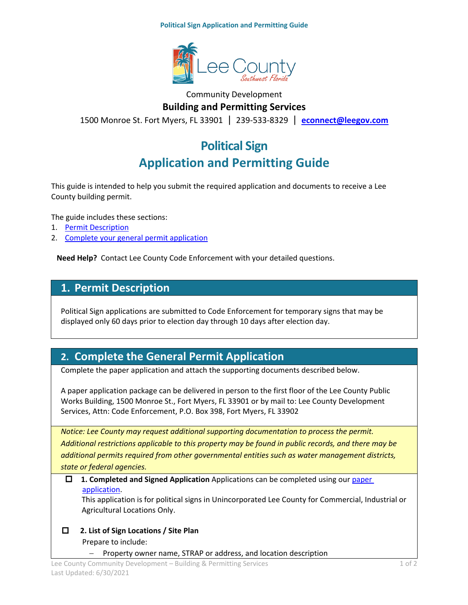**Political Sign Application and Permitting Guide**



### Community Development **Building and Permitting Services**

1500 Monroe St. Fort Myers, FL 33901 | 239-533-8329 | **[econnect@leegov.com](mailto:econnect@leegov.com)**

# **Political Sign Application and Permitting Guide**

This guide is intended to help you submit the required application and documents to receive a Lee County building permit.

The guide includes these sections:

- 1. [Permit Description](#page-0-0)
- 2. [Complete your general permit application](#page-0-1)

**Need Help?** Contact Lee County Code Enforcement with your detailed questions.

### <span id="page-0-0"></span>**1. Permit Description**

Political Sign applications are submitted to Code Enforcement for temporary signs that may be displayed only 60 days prior to election day through 10 days after election day.

## <span id="page-0-1"></span>**2. Complete the General Permit Application**

Complete the paper application and attach the supporting documents described below.

A paper application package can be delivered in person to the first floor of the Lee County Public Works Building, 1500 Monroe St., Fort Myers, FL 33901 or by mail to: Lee County Development Services, Attn: Code Enforcement, P.O. Box 398, Fort Myers, FL 33902

*Notice: Lee County may request additional supporting documentation to process the permit. Additional restrictions applicable to this property may be found in public records, and there may be additional permits required from other governmental entities such as water management districts, state or federal agencies.*

#### **1. Completed and Signed Application** Applications can be completed using ou[r paper](https://www.leegov.com/dcd/PermittingDocs/PoliticalSignPackage.pdf)  [application.](https://www.leegov.com/dcd/PermittingDocs/PoliticalSignPackage.pdf)

This application is for political signs in Unincorporated Lee County for Commercial, Industrial or Agricultural Locations Only.

 **2. List of Sign Locations / Site Plan** Prepare to include:

− Property owner name, STRAP or address, and location description